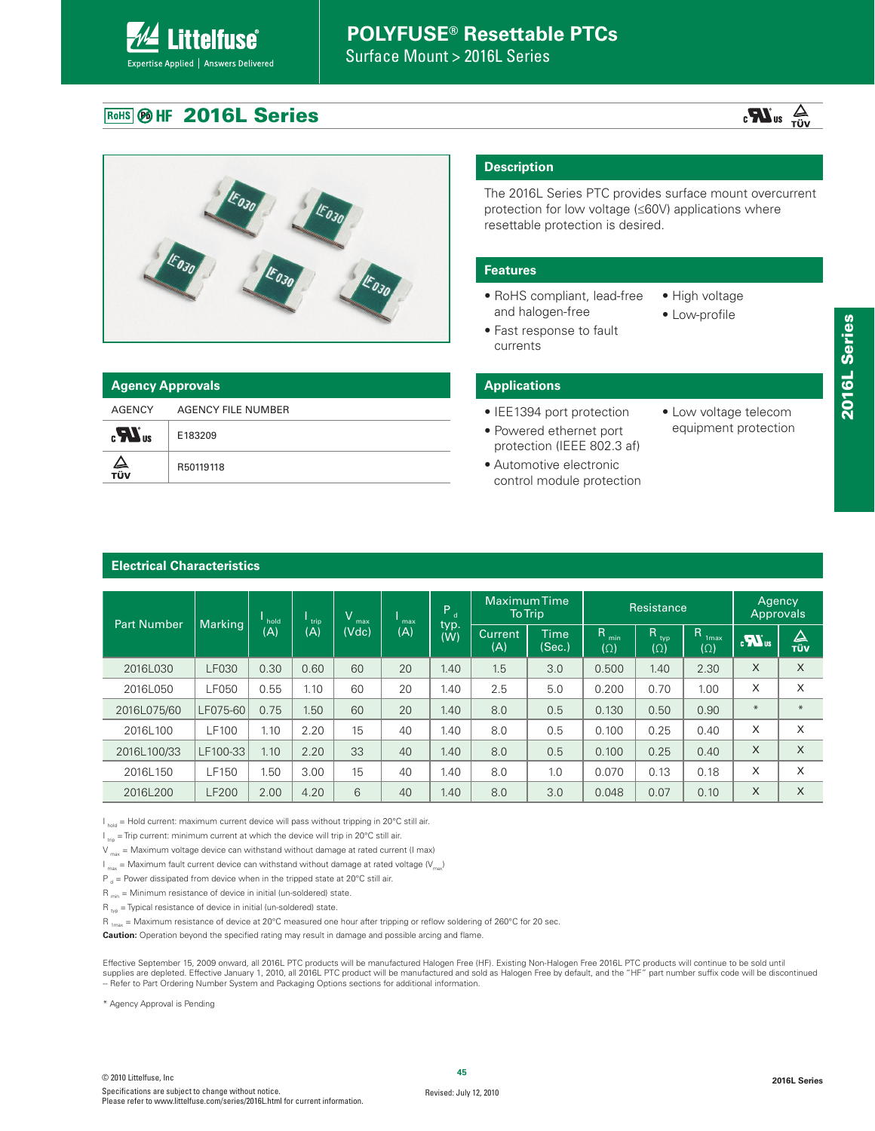Surface Mount > 2016L Series

### **ROHS @ HF 2016L Series**

**Littelfuse**®

Expertise Applied | Answers Delivered





|                         | <b>Agency Approvals</b> |  |  |  |  |  |  |
|-------------------------|-------------------------|--|--|--|--|--|--|
| AGENCY                  | AGENCY FILE NUMBER      |  |  |  |  |  |  |
| $\mathbf{R}_{\text{u}}$ | E183209                 |  |  |  |  |  |  |
| ∠⊾<br>тüν               | R50119118               |  |  |  |  |  |  |

### **Description**

The 2016L Series PTC provides surface mount overcurrent protection for low voltage (≤60V) applications where resettable protection is desired.

#### **Features**

- RoHS compliant, lead-free and halogen-free
- Fast response to fault currents
- High voltage

• Low voltage telecom equipment protection

- 
- Low-profile
- 
- 

### **Applications**

- IEE1394 port protection
- Powered ethernet port protection (IEEE 802.3 af)
- Automotive electronic control module protection

### **Electrical Characteristics**

| <b>Part Number</b> | <b>Marking</b> | hold | trip | $\vee$<br>max | max | $P_d$       |                       | <b>Maximum Time</b><br><b>To Trip</b> |                         | Resistance         |                                                | Agency<br><b>Approvals</b> |                 |
|--------------------|----------------|------|------|---------------|-----|-------------|-----------------------|---------------------------------------|-------------------------|--------------------|------------------------------------------------|----------------------------|-----------------|
|                    |                | (A)  | (A)  | (Vdc)         | (A) | typ.<br>(W) | <b>Current</b><br>(A) | Time<br>(Sec.)                        | R.<br>min<br>$(\Omega)$ | Rtyp<br>$(\Omega)$ | $\mathsf{R}$<br>1 <sub>max</sub><br>$(\Omega)$ | $\sum_{\alpha}$            | △<br><b>TÜV</b> |
| 2016L030           | <b>LF030</b>   | 0.30 | 0.60 | 60            | 20  | 1.40        | 1.5                   | 3.0                                   | 0.500                   | 1.40               | 2.30                                           | X                          | X               |
| 2016L050           | LF050          | 0.55 | 1.10 | 60            | 20  | 1.40        | 2.5                   | 5.0                                   | 0.200                   | 0.70               | 1.00                                           | X                          | X               |
| 2016L075/60        | LF075-60       | 0.75 | 1.50 | 60            | 20  | 1.40        | 8.0                   | 0.5                                   | 0.130                   | 0.50               | 0.90                                           | $*$                        | $\ast$          |
| 2016L100           | LF100          | 1.10 | 2.20 | 15            | 40  | 1.40        | 8.0                   | 0.5                                   | 0.100                   | 0.25               | 0.40                                           | X                          | X               |
| 2016L100/33        | LF100-33       | 1.10 | 2.20 | 33            | 40  | 1.40        | 8.0                   | 0.5                                   | 0.100                   | 0.25               | 0.40                                           | X                          | $\times$        |
| 2016L150           | LF150          | 1.50 | 3.00 | 15            | 40  | 1.40        | 8.0                   | 1.0                                   | 0.070                   | 0.13               | 0.18                                           | X                          | X               |
| 2016L200           | <b>LF200</b>   | 2.00 | 4.20 | 6             | 40  | 1.40        | 8.0                   | 3.0                                   | 0.048                   | 0.07               | 0.10                                           | X                          | X               |

 $I_{hold}$  = Hold current: maximum current device will pass without tripping in 20°C still air.

 $I_{\text{min}}$  = Trip current: minimum current at which the device will trip in 20°C still air.

 $V_{\text{max}}$  = Maximum voltage device can withstand without damage at rated current (I max)

 $I_{\text{max}}$  = Maximum fault current device can withstand without damage at rated voltage ( $V_{\text{max}}$ )

 $P_{d}$  = Power dissipated from device when in the tripped state at 20°C still air.

 $R_{min}$  = Minimum resistance of device in initial (un-soldered) state.

 $R_{\text{two}}$  = Typical resistance of device in initial (un-soldered) state.

R  $_{\text{1max}}$  = Maximum resistance of device at 20°C measured one hour after tripping or reflow soldering of 260°C for 20 sec.

**Caution:** Operation beyond the specified rating may result in damage and possible arcing and flame.

Effective September 15, 2009 onward, all 2016L PTC products will be manufactured Halogen Free (HF). Existing Non-Halogen Free 2016L PTC products will continue to be sold until supplies are depleted. Effective January 1, 2010, all 2016L PTC product will be manufactured and sold as Halogen Free by default, and the "HF" part number suffix code will be discontinued -- Refer to Part Ordering Number System and Packaging Options sections for additional information.

\* Agency Approval is Pending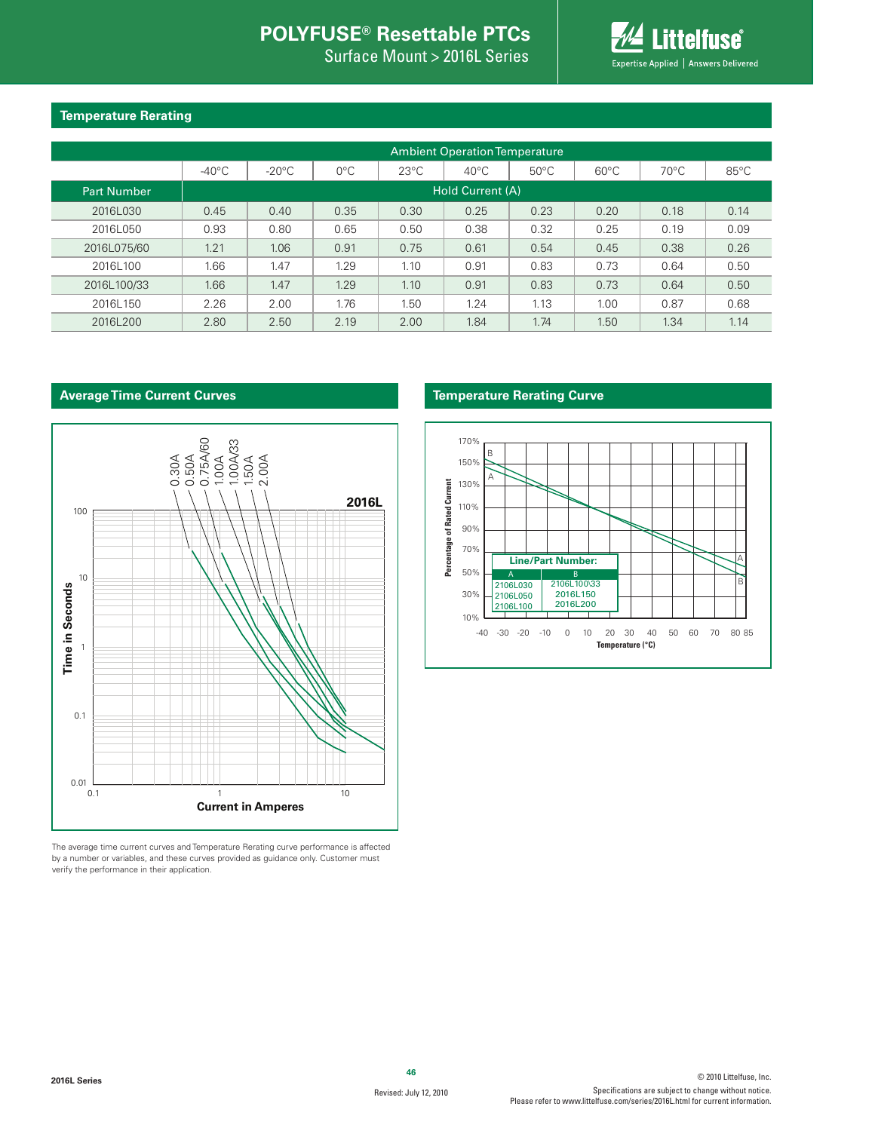Surface Mount > 2016L Series



### **Temperature Rerating**

|                    | <b>Ambient Operation Temperature</b> |                 |               |                |                |                |                |                |                |  |  |  |  |
|--------------------|--------------------------------------|-----------------|---------------|----------------|----------------|----------------|----------------|----------------|----------------|--|--|--|--|
|                    | $-40^{\circ}$ C                      | $-20^{\circ}$ C | $0^{\circ}$ C | $23^{\circ}$ C | $40^{\circ}$ C | $50^{\circ}$ C | $60^{\circ}$ C | $70^{\circ}$ C | $85^{\circ}$ C |  |  |  |  |
| <b>Part Number</b> | Hold Current (A)                     |                 |               |                |                |                |                |                |                |  |  |  |  |
| 2016L030           | 0.45                                 | 0.40            | 0.35          | 0.30           | 0.25           | 0.23           | 0.20           | 0.18           | 0.14           |  |  |  |  |
| 2016L050           | 0.93                                 | 0.80            | 0.65          | 0.50           | 0.38           | 0.32           | 0.25           | 0.19           | 0.09           |  |  |  |  |
| 2016L075/60        | 1.21                                 | 1.06            | 0.91          | 0.75           | 0.61           | 0.54           | 0.45           | 0.38           | 0.26           |  |  |  |  |
| 2016L100           | 1.66                                 | 1.47            | 1.29          | 1.10           | 0.91           | 0.83           | 0.73           | 0.64           | 0.50           |  |  |  |  |
| 2016L100/33        | 1.66                                 | 1.47            | 1.29          | 1.10           | 0.91           | 0.83           | 0.73           | 0.64           | 0.50           |  |  |  |  |
| 2016L150           | 2.26                                 | 2.00            | 1.76          | 1.50           | 1.24           | 1.13           | 1.00           | 0.87           | 0.68           |  |  |  |  |
| 2016L200           | 2.80                                 | 2.50            | 2.19          | 2.00           | 1.84           | 1.74           | 1.50           | 1.34           | 1.14           |  |  |  |  |

### **Average Time Current Curves**



The average time current curves and Temperature Rerating curve performance is affected by a number or variables, and these curves provided as guidance only. Customer must verify the performance in their application.

#### **Temperature Rerating Curve**

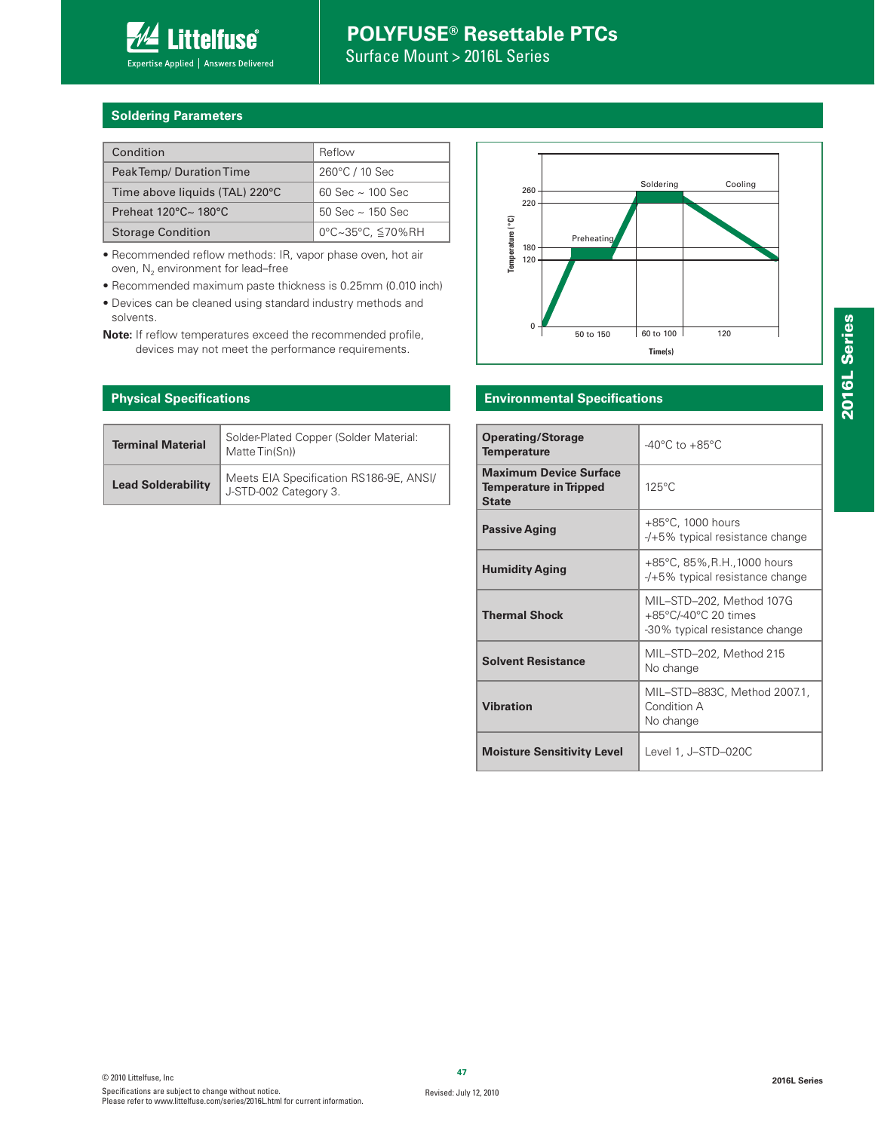

Surface Mount > 2016L Series

### **Soldering Parameters**

| Condition                      | Reflow                  |
|--------------------------------|-------------------------|
| Peak Temp/Duration Time        | 260°C / 10 Sec          |
| Time above liquids (TAL) 220°C | $60$ Sec $\sim$ 100 Sec |
| Preheat 120°C~ 180°C           | $50$ Sec $\sim$ 150 Sec |
| <b>Storage Condition</b>       | 0°C~35°C, ≦70%RH        |

• Recommended reflow methods: IR, vapor phase oven, hot air oven,  $N_2$  environment for lead–free

- Recommended maximum paste thickness is 0.25mm (0.010 inch)
- Devices can be cleaned using standard industry methods and solvents.

**Note:** If reflow temperatures exceed the recommended profile, devices may not meet the performance requirements.

### **Physical Specifications**

| <b>Terminal Material</b>  | Solder-Plated Copper (Solder Material:<br>Matte Tin(Sn))         |
|---------------------------|------------------------------------------------------------------|
| <b>Lead Solderability</b> | Meets EIA Specification RS186-9E, ANSI/<br>J-STD-002 Category 3. |



### **Environmental Specifications**

| <b>Operating/Storage</b><br><b>Temperature</b>                                 | $-40^{\circ}$ C to $+85^{\circ}$ C                                                 |
|--------------------------------------------------------------------------------|------------------------------------------------------------------------------------|
| <b>Maximum Device Surface</b><br><b>Temperature in Tripped</b><br><b>State</b> | $125^{\circ}$ C                                                                    |
| <b>Passive Aging</b>                                                           | $+85^{\circ}$ C, 1000 hours<br>-/+5% typical resistance change                     |
| <b>Humidity Aging</b>                                                          | +85°C, 85%, R.H., 1000 hours<br>$-$ /+5% typical resistance change                 |
| <b>Thermal Shock</b>                                                           | MIL-STD-202, Method 107G<br>+85°C/-40°C 20 times<br>-30% typical resistance change |
| <b>Solvent Resistance</b>                                                      | MIL-STD-202, Method 215<br>No change                                               |
| <b>Vibration</b>                                                               | MIL-STD-883C, Method 2007.1,<br>Condition A<br>No change                           |
| <b>Moisture Sensitivity Level</b>                                              | Level 1, J–STD–020C                                                                |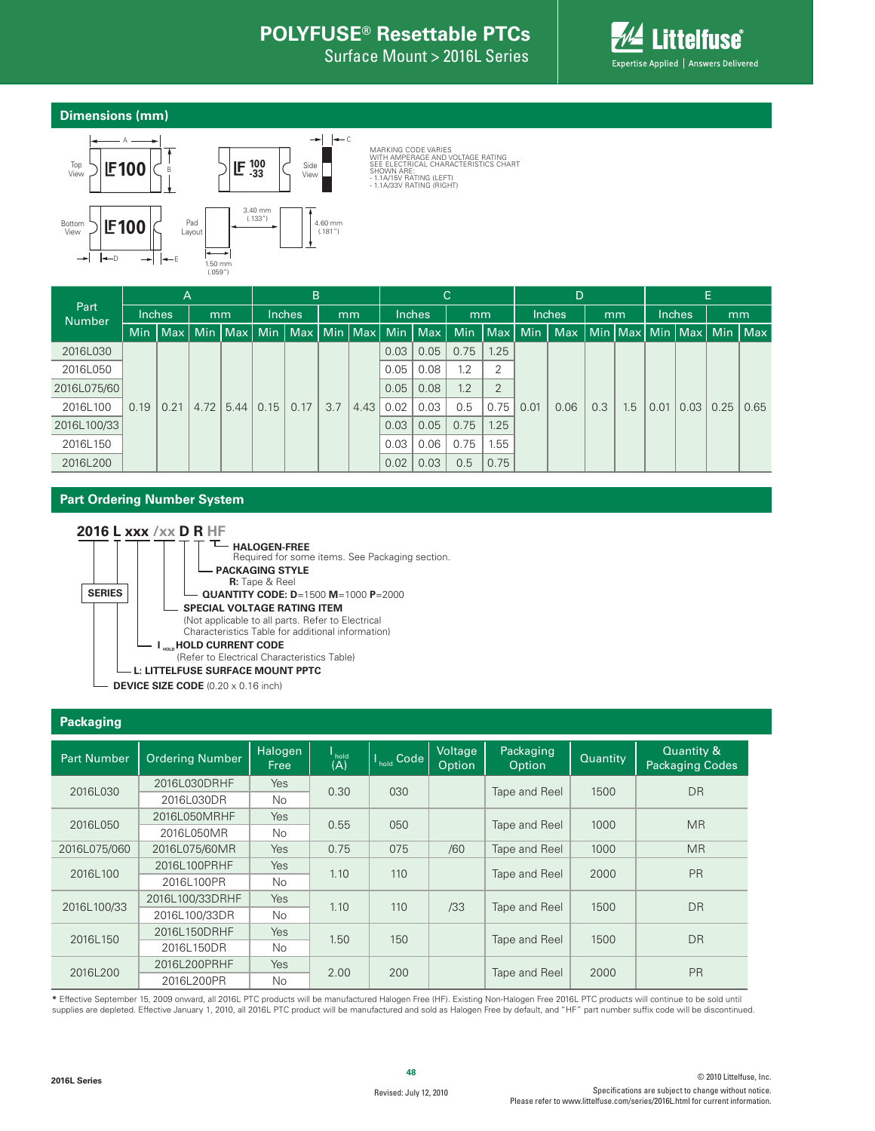Surface Mount > 2016L Series



### **Dimensions (mm)**



MARKING CODE VARIES<br>WITH AMPERAGE AND VOLTAGE RATING<br>SEE ELECTRICAL CHARACTERISTICS CHART<br>SHOWN ARE: - 1.1A/15V RATING (LEFT)<br>- 1.1A/33V RATING (RIGHT)

|                       |        | A    |      |                 |  | B             |  |    |      |                             | C.           |                |            | D             |      |     |      |                             | E.   |     |      |              |     |     |      |      |      |      |
|-----------------------|--------|------|------|-----------------|--|---------------|--|----|------|-----------------------------|--------------|----------------|------------|---------------|------|-----|------|-----------------------------|------|-----|------|--------------|-----|-----|------|------|------|------|
| Part<br><b>Number</b> | Inches |      |      | mm              |  | <b>Inches</b> |  | mm |      | <b>Inches</b>               | mm           |                |            | <b>Inches</b> |      | mm  |      | Inches,                     |      | mm  |      |              |     |     |      |      |      |      |
|                       | Min    | Max  |      | Min   Max   Min |  |               |  |    |      | Max   Min   Max   Min   Max | <b>Min</b>   | $ $ Max $ $    | <b>Min</b> | <b>Max</b>    |      |     |      | Min   Max   Min   Max   Min |      | Max |      |              |     |     |      |      |      |      |
| 2016L030              |        |      |      |                 |  |               |  |    | 0.03 | 0.05                        | 0.75         | 1.25           |            |               |      |     |      |                             |      |     |      |              |     |     |      |      |      |      |
| 2016L050              |        |      |      |                 |  |               |  |    |      | 0.05                        | 0.08         | 1.2            | 2          |               |      |     |      |                             |      |     |      |              |     |     |      |      |      |      |
| 2016L075/60           |        |      |      |                 |  |               |  |    | 0.05 | 0.08                        | 1.2          | $\overline{2}$ |            |               |      |     |      |                             |      |     |      |              |     |     |      |      |      |      |
| 2016L100              | 0.19   | 0.21 | 4.72 | 5.44            |  |               |  |    |      |                             |              |                |            | 0.15          | 0.17 | 3.7 | 4.43 | 0.02                        | 0.03 | 0.5 | 0.75 | 0.01<br>0.06 | 0.3 | 1.5 | 0.01 | 0.03 | 0.25 | 0.65 |
| 2016L100/33           |        |      |      |                 |  |               |  |    |      |                             | 0.03         | 0.05           | 0.75       | 1.25          |      |     |      |                             |      |     |      |              |     |     |      |      |      |      |
| 2016L150              |        |      |      |                 |  |               |  |    | 0.03 | 0.06                        | 0.75<br>1.55 |                |            |               |      |     |      |                             |      |     |      |              |     |     |      |      |      |      |
| 2016L200              |        |      |      |                 |  |               |  |    | 0.02 | 0.03                        | 0.5          | 0.75           |            |               |      |     |      |                             |      |     |      |              |     |     |      |      |      |      |

### **Part Ordering Number System**



#### **Packaging**

| <b>Part Number</b> | <b>Ordering Number</b> | Halogen<br>Free | l<br>hold<br>(A) | <b>V<sub>hold</sub></b> Code | Voltage<br>Option | Packaging<br>Option | Quantity | Quantity &<br><b>Packaging Codes</b> |
|--------------------|------------------------|-----------------|------------------|------------------------------|-------------------|---------------------|----------|--------------------------------------|
| 2016L030           | 2016L030DRHF           | Yes             | 0.30             | 030                          |                   | Tape and Reel       | 1500     | <b>DR</b>                            |
|                    | 2016L030DR             | No.             |                  |                              |                   |                     |          |                                      |
| 2016L050           | 2016L050MRHF           | Yes             |                  | 0.55                         |                   |                     | 1000     | <b>MR</b>                            |
|                    | 2016L050MR             | No.             |                  | 050                          |                   | Tape and Reel       |          |                                      |
| 2016L075/060       | 2016L075/60MR          | Yes             | 0.75             | 075                          | /60               | Tape and Reel       | 1000     | <b>MR</b>                            |
|                    | 2016L100PRHF           | Yes             |                  | 110                          |                   |                     | 2000     | <b>PR</b>                            |
| 2016L100           | 2016L100PR             | No.             | 1.10             |                              |                   | Tape and Reel       |          |                                      |
| 2016L100/33        | 2016L100/33DRHF        | Yes             | 1.10             | 110                          | /33               |                     | 1500     | DR                                   |
|                    | 2016L100/33DR          | No.             |                  |                              |                   | Tape and Reel       |          |                                      |
|                    | 2016L150DRHF           | <b>Yes</b>      |                  |                              |                   |                     |          |                                      |
| 2016L150           | 2016L150DR             | No.             | 1.50             | 150                          |                   | Tape and Reel       | 1500     | DR                                   |
|                    | 2016L200PRHF           | Yes             |                  |                              |                   |                     |          | <b>PR</b>                            |
| 2016L200           | 2016L200PR             | No.             | 2.00             | 200                          |                   | Tape and Reel       | 2000     |                                      |

**\*** Effective September 15, 2009 onward, all 2016L PTC products will be manufactured Halogen Free (HF). Existing Non-Halogen Free 2016L PTC products will continue to be sold until supplies are depleted. Effective January 1, 2010, all 2016L PTC product will be manufactured and sold as Halogen Free by default, and "HF" part number suffix code will be discontinued.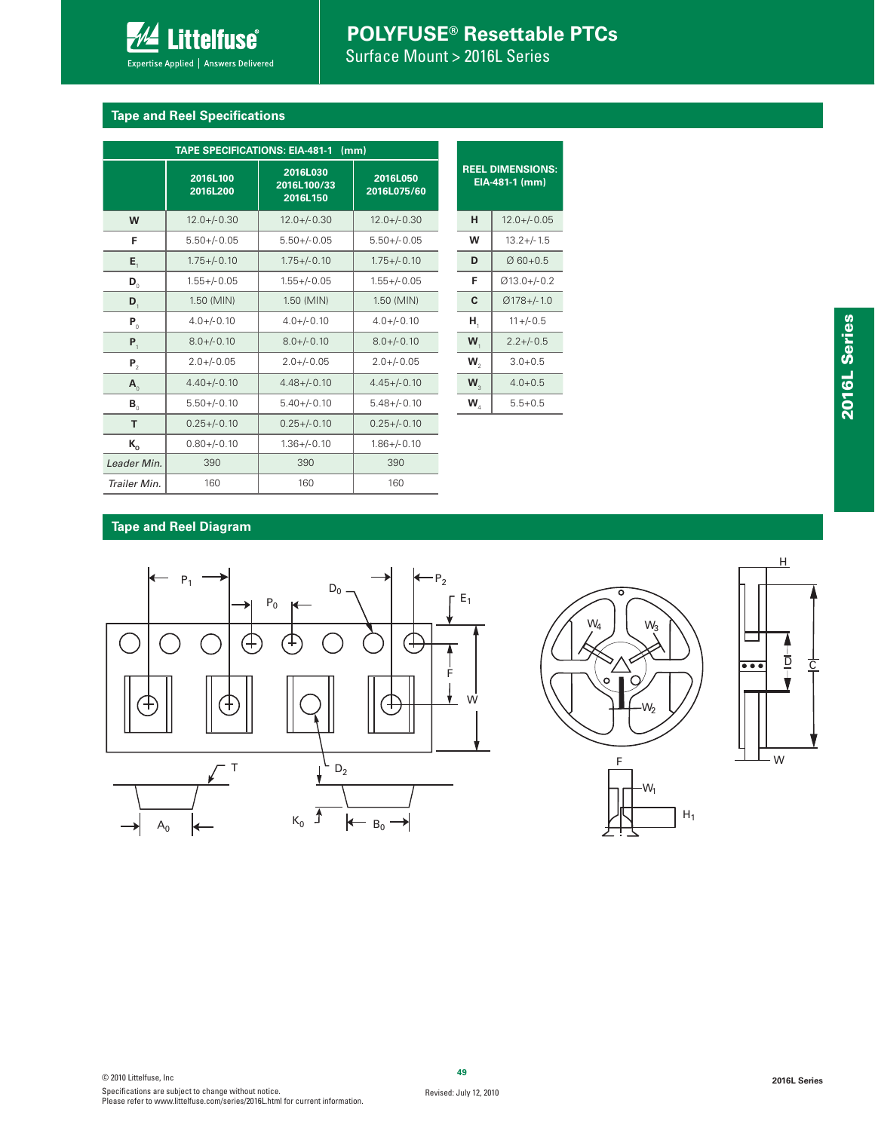Surface Mount > 2016L Series

### **Tape and Reel Specifications**

**Littelfuse**® Expertise Applied | Answers Delivered

|                              | 2016L100<br>2016L200 | 2016L030<br>2016L100/33<br>2016L150 | 2016L050<br>2016L075/60 |             | <b>REEL DIMENSIONS:</b><br>EIA-481-1 (mm) |
|------------------------------|----------------------|-------------------------------------|-------------------------|-------------|-------------------------------------------|
| W                            | $12.0 + (-0.30)$     | $12.0 + (-0.30)$                    | $12.0 + (-0.30)$        | н           | $12.0 + (-0.05)$                          |
| F                            | $5.50 + / -0.05$     | $5.50 + / -0.05$                    | $5.50 + / -0.05$        | w           | $13.2 +/- 1.5$                            |
| $E_{\rm t}$                  | $1.75 + (-0.10)$     | $1.75 + (-0.10)$                    | $1.75 + (-0.10)$        | D           | $Ø$ 60+0.5                                |
| $\mathbf{D}_{_{\mathrm{0}}}$ | $1.55 + -0.05$       | $1.55 + - 0.05$                     | $1.55 + / -0.05$        | F           | $Ø13.0 +/-0.2$                            |
| $\mathbf{D}_{1}$             | 1.50 (MIN)           | 1.50 (MIN)                          | 1.50 (MIN)              | C           | $Ø178 +/- 1.0$                            |
| $P_0$                        | $4.0 + (-0.10)$      | $4.0 + (-0.10)$                     | $4.0 + (-0.10)$         | н,          | $11 + (-0.5)$                             |
| $P_1$                        | $8.0 + / -0.10$      | $8.0 + / -0.10$                     | $8.0 + / -0.10$         | W,          | $2.2 + / -0.5$                            |
| P <sub>2</sub>               | $2.0 + / -0.05$      | $2.0 + / -0.05$                     | $2.0 + / -0.05$         | $W_{\circ}$ | $3.0 + 0.5$                               |
| $\mathbf{A}_{\alpha}$        | $4.40 + (-0.10)$     | $4.48 + - 0.10$                     | $4.45 + (-0.10)$        | $W_{\circ}$ | $4.0 + 0.5$                               |
| $B_{\alpha}$                 | $5.50 +/-0.10$       | $5.40 +/- 0.10$                     | $5.48 + / -0.10$        | $W_{A}$     | $5.5 + 0.5$                               |
| T                            | $0.25 + -0.10$       | $0.25 + -0.10$                      | $0.25 + (-0.10)$        |             |                                           |
| $K_{o}$                      | $0.80 +/- 0.10$      | $1.36 + / -0.10$                    | $1.86 + / -0.10$        |             |                                           |
| Leader Min.                  | 390                  | 390                                 | 390                     |             |                                           |
| Trailer Min.                 | 160                  | 160                                 | 160                     |             |                                           |

| <b>Tape and Reel Diagram</b> |  |  |
|------------------------------|--|--|
|                              |  |  |







**2016L Series**

2016L Series